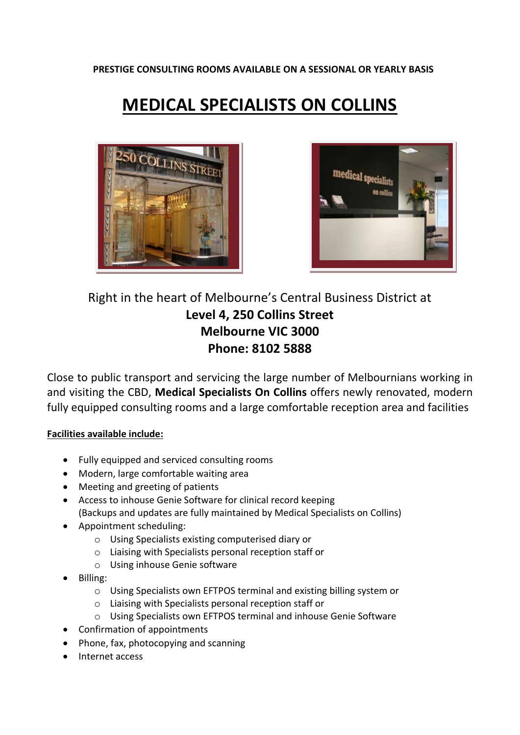**PRESTIGE CONSULTING ROOMS AVAILABLE ON A SESSIONAL OR YEARLY BASIS**

## **MEDICAL SPECIALISTS ON COLLINS**





## Right in the heart of Melbourne's Central Business District at **Level 4, 250 Collins Street Melbourne VIC 3000 Phone: 8102 5888**

Close to public transport and servicing the large number of Melbournians working in and visiting the CBD, **Medical Specialists On Collins** offers newly renovated, modern fully equipped consulting rooms and a large comfortable reception area and facilities

## **Facilities available include:**

- Fully equipped and serviced consulting rooms
- Modern, large comfortable waiting area
- Meeting and greeting of patients
- Access to inhouse Genie Software for clinical record keeping (Backups and updates are fully maintained by Medical Specialists on Collins)
- Appointment scheduling:
	- o Using Specialists existing computerised diary or
	- o Liaising with Specialists personal reception staff or
	- o Using inhouse Genie software
- Billing:
	- o Using Specialists own EFTPOS terminal and existing billing system or
	- o Liaising with Specialists personal reception staff or
	- o Using Specialists own EFTPOS terminal and inhouse Genie Software
- Confirmation of appointments
- Phone, fax, photocopying and scanning
- Internet access